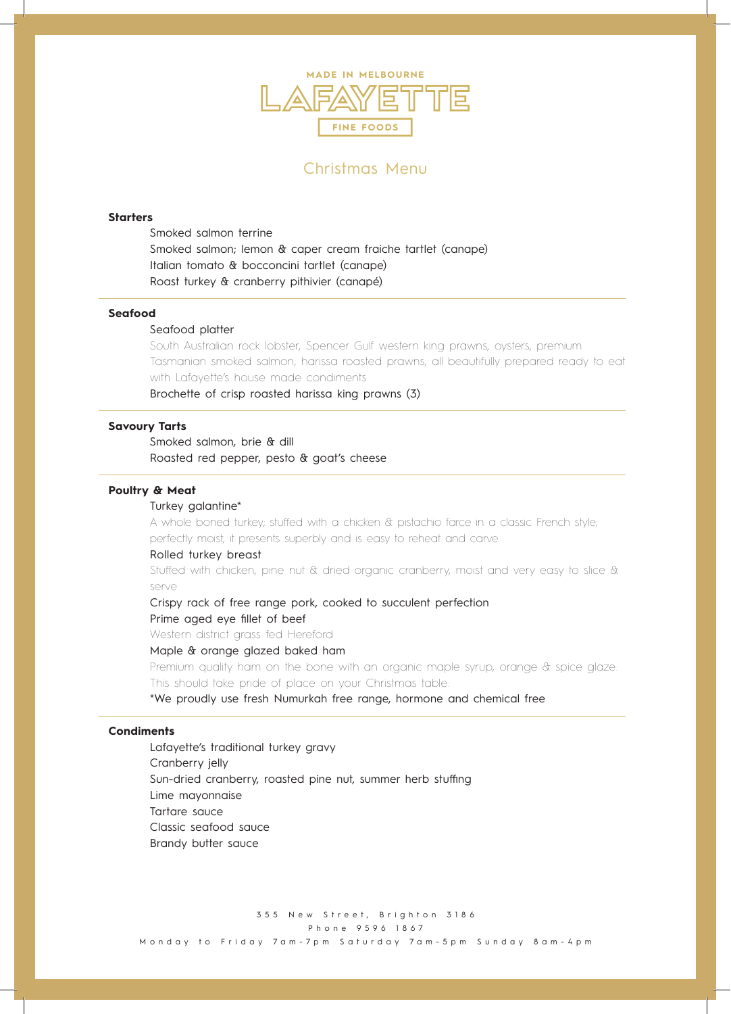

# Christmas Menu

### **Starters**

Smoked salmon terrine Smoked salmon; lemon & caper cream fraiche tartlet (canape) Italian tomato & bocconcini tartlet (canape) Roast turkey & cranberry pithivier (canapé)

#### **Seafood**

### Seafood platter

South Australian rock lobster, Spencer Gulf western king prawns, oysters, premium Tasmanian smoked salmon, harissa roasted prawns, all beautifully prepared ready to eat with Lafayette's house made condiments

Brochette of crisp roasted harissa king prawns (3)

## **Savoury Tarts**

Smoked salmon, brie & dill Roasted red pepper, pesto & goat's cheese

## **Poultry & Meat**

#### Turkey galantine\*

A whole boned turkey; stuffed with a chicken & pistachio farce in a classic French style; perfectly moist, it presents superbly and is easy to reheat and carve

#### Rolled turkey breast

Stuffed with chicken, pine nut & dried organic cranberry, moist and very easy to slice & serve

Crispy rack of free range pork, cooked to succulent perfection

#### Prime aged eye fillet of beef

Western district grass fed Hereford

### Maple & orange glazed baked ham

Premium quality ham on the bone with an organic maple syrup, orange & spice glaze. This should take pride of place on your Christmas table.

\*We proudly use fresh Numurkah free range, hormone and chemical free

## **Condiments**

Lafayette's traditional turkey gravy Cranberry jelly Sun-dried cranberry, roasted pine nut, summer herb stuffing Lime mayonnaise Tartare sauce Classic seafood sauce Brandy butter sauce

355 New Street, Brighton 3186 Phone 9596 1867 Monday to Friday 7am-7pm Sa turday 7am-5pm Sunday 8am-4pm